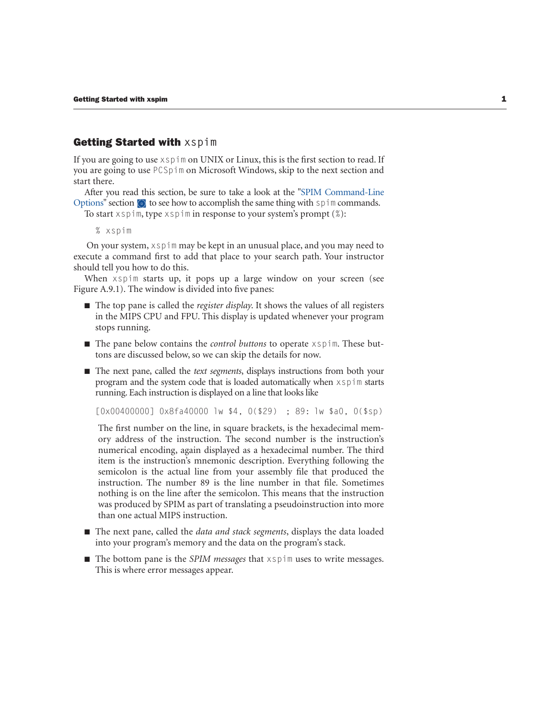## Getting Started with **xspim**

If you are going to use xspim on UNIX or Linux, this is the first section to read. If you are going to use PCSpim on Microsoft Windows, skip to the next section and start there.

After you read this section, be sure to take a look at the "SPIM Command-Line Options" section  $\odot$  to see how to accomplish the same thing with spim commands.

To start xspim, type xspim in response to your system's prompt (%):

% xspim

 On your system, xspim may be kept in an unusual place, and you may need to execute a command first to add that place to your search path. Your instructor should tell you how to do this.

When xspim starts up, it pops up a large window on your screen (see Figure A.9.1). The window is divided into five panes:

- The top pane is called the *register display*. It shows the values of all registers in the MIPS CPU and FPU. This display is updated whenever your program stops running.
- The pane below contains the *control buttons* to operate xspim. These buttons are discussed below, so we can skip the details for now.
- The next pane, called the *text segments*, displays instructions from both your program and the system code that is loaded automatically when xspim starts running. Each instruction is displayed on a line that looks like

[0x00400000] 0x8fa40000 lw \$4, 0(\$29) ; 89: lw \$a0, 0(\$sp)

The first number on the line, in square brackets, is the hexadecimal memory address of the instruction. The second number is the instruction's numerical encoding, again displayed as a hexadecimal number. The third item is the instruction's mnemonic description. Everything following the semicolon is the actual line from your assembly file that produced the instruction. The number 89 is the line number in that file. Sometimes nothing is on the line after the semicolon. This means that the instruction was produced by SPIM as part of translating a pseudoinstruction into more than one actual MIPS instruction.

- The next pane, called the *data and stack segments*, displays the data loaded into your program's memory and the data on the program's stack.
- The bottom pane is the *SPIM messages* that xspim uses to write messages. This is where error messages appear.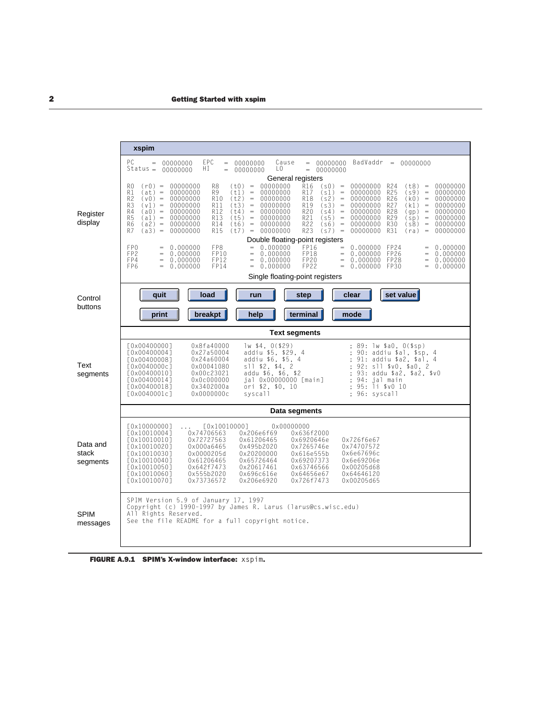

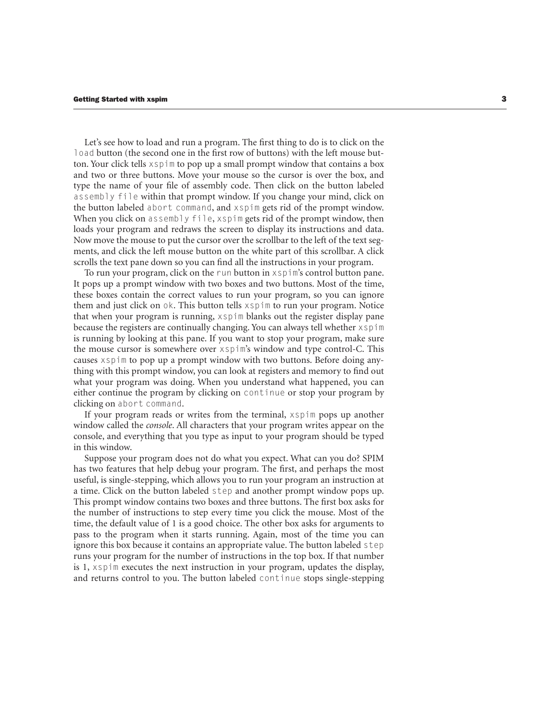## Getting Started with xspim

Let's see how to load and run a program. The first thing to do is to click on the load button (the second one in the first row of buttons) with the left mouse button. Your click tells xspim to pop up a small prompt window that contains a box and two or three buttons. Move your mouse so the cursor is over the box, and type the name of your file of assembly code. Then click on the button labeled assembly file within that prompt window. If you change your mind, click on the button labeled abort command, and xspim gets rid of the prompt window. When you click on assembly file, xspim gets rid of the prompt window, then loads your program and redraws the screen to display its instructions and data. Now move the mouse to put the cursor over the scrollbar to the left of the text segments, and click the left mouse button on the white part of this scrollbar. A click scrolls the text pane down so you can find all the instructions in your program.

To run your program, click on the run button in xspim's control button pane. It pops up a prompt window with two boxes and two buttons. Most of the time, these boxes contain the correct values to run your program, so you can ignore them and just click on ok. This button tells xspim to run your program. Notice that when your program is running, xspim blanks out the register display pane because the registers are continually changing. You can always tell whether xspim is running by looking at this pane. If you want to stop your program, make sure the mouse cursor is somewhere over xspim's window and type control-C. This causes xspim to pop up a prompt window with two buttons. Before doing anything with this prompt window, you can look at registers and memory to find out what your program was doing. When you understand what happened, you can either continue the program by clicking on continue or stop your program by clicking on abort command .

If your program reads or writes from the terminal, xspim pops up another window called the *console*. All characters that your program writes appear on the console, and everything that you type as input to your program should be typed in this window.

Suppose your program does not do what you expect. What can you do? SPIM has two features that help debug your program. The first, and perhaps the most useful, is single-stepping, which allows you to run your program an instruction at a time. Click on the button labeled step and another prompt window pops up. This prompt window contains two boxes and three buttons. The first box asks for the number of instructions to step every time you click the mouse. Most of the time, the default value of 1 is a good choice. The other box asks for arguments to pass to the program when it starts running. Again, most of the time you can ignore this box because it contains an appropriate value. The button labeled step runs your program for the number of instructions in the top box. If that number is 1, xspim executes the next instruction in your program, updates the display, and returns control to you. The button labeled continue stops single-stepping